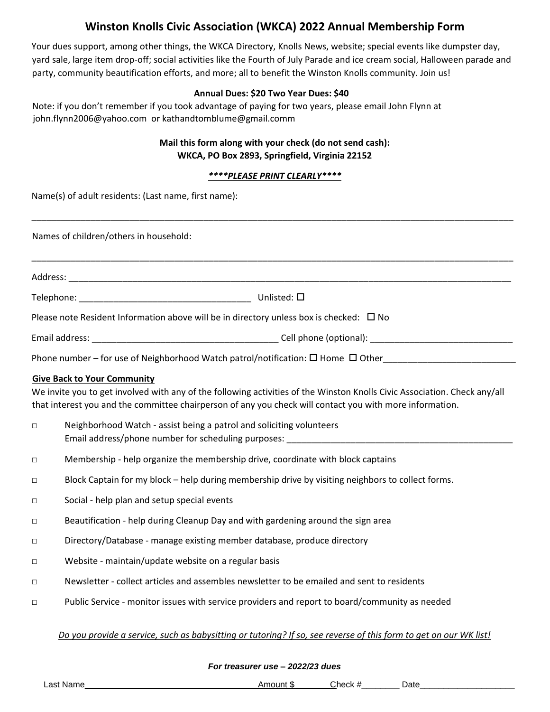# **Winston Knolls Civic Association (WKCA) 2022 Annual Membership Form**

Your dues support, among other things, the WKCA Directory, Knolls News, website; special events like dumpster day, yard sale, large item drop-off; social activities like the Fourth of July Parade and ice cream social, Halloween parade and party, community beautification efforts, and more; all to benefit the Winston Knolls community. Join us!

#### **Annual Dues: \$20 Two Year Dues: \$40**

Note: if you don't remember if you took advantage of paying for two years, please email John Flynn at [john.flynn2006@yahoo.com](mailto:john.flynn2006@yahoo.com) or kathandtomblume@gmail.comm

### **Mail this form along with your check (do not send cash): WKCA, PO Box 2893, Springfield, Virginia 22152**

#### *\*\*\*\*PLEASE PRINT CLEARLY\*\*\*\**

\_\_\_\_\_\_\_\_\_\_\_\_\_\_\_\_\_\_\_\_\_\_\_\_\_\_\_\_\_\_\_\_\_\_\_\_\_\_\_\_\_\_\_\_\_\_\_\_\_\_\_\_\_\_\_\_\_\_\_\_\_\_\_\_\_\_\_\_\_\_\_\_\_\_\_\_\_\_\_\_\_\_\_\_\_\_\_\_\_\_\_\_\_\_\_\_\_\_

Name(s) of adult residents: (Last name, first name):

Names of children/others in household: \_\_\_\_\_\_\_\_\_\_\_\_\_\_\_\_\_\_\_\_\_\_\_\_\_\_\_\_\_\_\_\_\_\_\_\_\_\_\_\_\_\_\_\_\_\_\_\_\_\_\_\_\_\_\_\_\_\_\_\_\_\_\_\_\_\_\_\_\_\_\_\_\_\_\_\_\_\_\_\_\_\_\_\_\_\_\_\_\_\_\_\_\_\_\_\_\_\_ Address: \_\_\_\_\_\_\_\_\_\_\_\_\_\_\_\_\_\_\_\_\_\_\_\_\_\_\_\_\_\_\_\_\_\_\_\_\_\_\_\_\_\_\_\_\_\_\_\_\_\_\_\_\_\_\_\_\_\_\_\_\_\_\_\_\_\_\_\_\_\_\_\_\_\_\_\_\_\_\_\_\_\_\_\_\_\_\_\_\_\_ Telephone:  $\qquad \qquad$  Unlisted:  $\Box$ Please note Resident Information above will be in directory unless box is checked:  $\Box$  No Email address: \_\_\_\_\_\_\_\_\_\_\_\_\_\_\_\_\_\_\_\_\_\_\_\_\_\_\_\_\_\_\_\_\_\_\_\_\_\_ Cell phone (optional): \_\_\_\_\_\_\_\_\_\_\_\_\_\_\_\_\_\_\_\_\_\_\_\_\_\_\_\_\_ Phone number – for use of Neighborhood Watch patrol/notification:  $\Box$  Home  $\Box$  Other **Give Back to Your Community** We invite you to get involved with any of the following activities of the Winston Knolls Civic Association. Check any/all that interest you and the committee chairperson of any you check will contact you with more information. □ Neighborhood Watch - assist being a patrol and soliciting volunteers Email address/phone number for scheduling purposes: \_\_\_\_\_\_\_\_\_\_\_\_\_\_\_\_\_\_\_\_\_\_\_\_\_\_\_\_\_\_\_\_\_\_\_\_\_\_\_\_\_\_\_\_\_\_ □ Membership - help organize the membership drive, coordinate with block captains □ Block Captain for my block – help during membership drive by visiting neighbors to collect forms. □ Social - help plan and setup special events □ Beautification - help during Cleanup Day and with gardening around the sign area □ Directory/Database - manage existing member database, produce directory □ Website - maintain/update website on a regular basis □ Newsletter - collect articles and assembles newsletter to be emailed and sent to residents

□ Public Service - monitor issues with service providers and report to board/community as needed

#### *Do you provide a service, such as babysitting or tutoring? If so, see reverse of this form to get on our WK list!*

*For treasurer use – 2022/23 dues* 

Last Name\_\_\_\_\_\_\_\_\_\_\_\_\_\_\_\_\_\_\_\_\_\_\_\_\_\_\_\_\_\_\_\_\_\_\_\_ Amount \$\_\_\_\_\_\_\_ Check #\_\_\_\_\_\_\_\_ Date\_\_\_\_\_\_\_\_\_\_\_\_\_\_\_\_\_\_\_\_